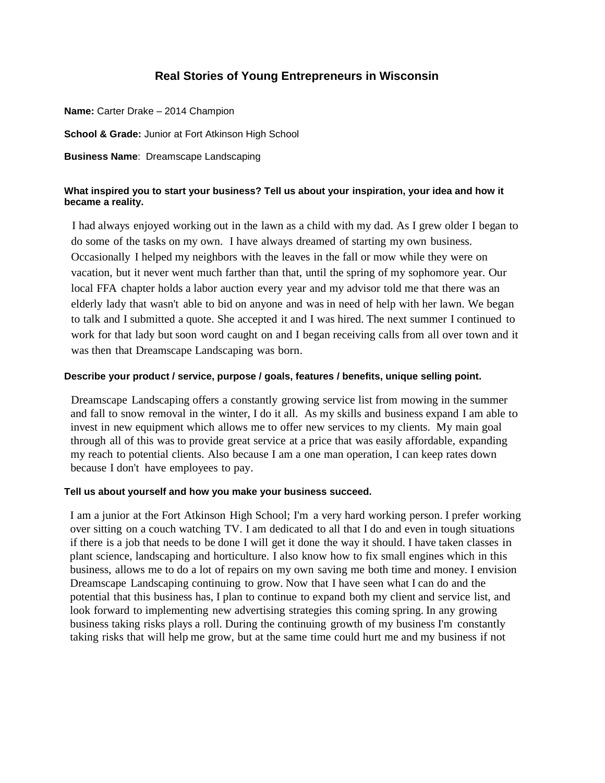# **Real Stories of Young Entrepreneurs in Wisconsin**

**Name:** Carter Drake – 2014 Champion **School & Grade:** Junior at Fort Atkinson High School **Business Name**: Dreamscape Landscaping

## **What inspired you to start your business? Tell us about your inspiration, your idea and how it became a reality.**

I had always enjoyed working out in the lawn as a child with my dad. As I grew older I began to do some of the tasks on my own. I have always dreamed of starting my own business. Occasionally I helped my neighbors with the leaves in the fall or mow while they were on vacation, but it never went much farther than that, until the spring of my sophomore year. Our local FFA chapter holds a labor auction every year and my advisor told me that there was an elderly lady that wasn't able to bid on anyone and was in need of help with her lawn. We began to talk and I submitted a quote. She accepted it and I was hired. The next summer I continued to work for that lady but soon word caught on and I began receiving calls from all over town and it was then that Dreamscape Landscaping was born.

### **Describe your product / service, purpose / goals, features / benefits, unique selling point.**

Dreamscape Landscaping offers a constantly growing service list from mowing in the summer and fall to snow removal in the winter, I do it all. As my skills and business expand I am able to invest in new equipment which allows me to offer new services to my clients. My main goal through all of this was to provide great service at a price that was easily affordable, expanding my reach to potential clients. Also because I am a one man operation, I can keep rates down because I don't have employees to pay.

#### **Tell us about yourself and how you make your business succeed.**

I am a junior at the Fort Atkinson High School; I'm a very hard working person. I prefer working over sitting on a couch watching TV. I am dedicated to all that I do and even in tough situations if there is a job that needs to be done I will get it done the way it should. I have taken classes in plant science, landscaping and horticulture. I also know how to fix small engines which in this business, allows me to do a lot of repairs on my own saving me both time and money. I envision Dreamscape Landscaping continuing to grow. Now that I have seen what I can do and the potential that this business has, I plan to continue to expand both my client and service list, and look forward to implementing new advertising strategies this coming spring. In any growing business taking risks plays a roll. During the continuing growth of my business I'm constantly taking risks that will help me grow, but at the same time could hurt me and my business if not